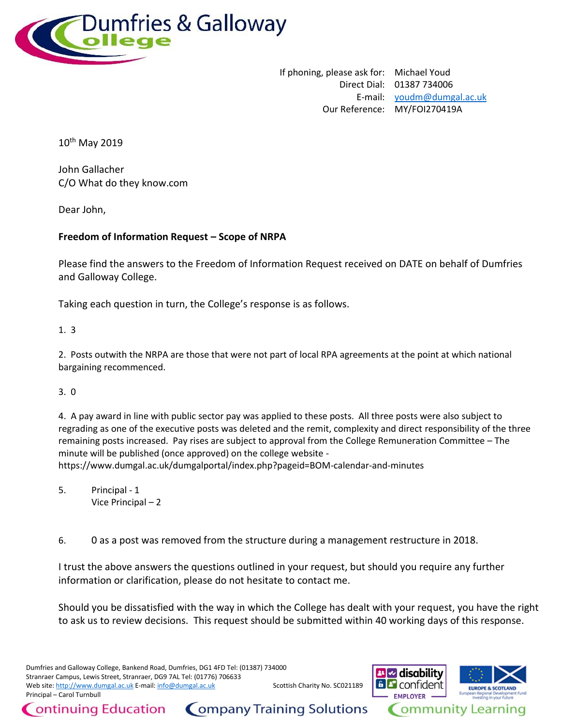

If phoning, please ask for: Michael Youd Direct Dial: 01387 734006 E-mail: [youdm@dumgal.ac.uk](mailto:xxxxx@xxxxxx.xx.xx) Our Reference: MY/FOI270419A

10<sup>th</sup> May 2019

John Gallacher C/O What do they know.com

Dear John,

## **Freedom of Information Request – Scope of NRPA**

Please find the answers to the Freedom of Information Request received on DATE on behalf of Dumfries and Galloway College.

Taking each question in turn, the College's response is as follows.

1. 3

2. Posts outwith the NRPA are those that were not part of local RPA agreements at the point at which national bargaining recommenced.

3. 0

4. A pay award in line with public sector pay was applied to these posts. All three posts were also subject to regrading as one of the executive posts was deleted and the remit, complexity and direct responsibility of the three remaining posts increased. Pay rises are subject to approval from the College Remuneration Committee – The minute will be published (once approved) on the college website -

https://www.dumgal.ac.uk/dumgalportal/index.php?pageid=BOM-calendar-and-minutes

5. Principal - 1 Vice Principal – 2

ontinuing Education

6. 0 as a post was removed from the structure during a management restructure in 2018.

I trust the above answers the questions outlined in your request, but should you require any further information or clarification, please do not hesitate to contact me.

Should you be dissatisfied with the way in which the College has dealt with your request, you have the right to ask us to review decisions. This request should be submitted within 40 working days of this response.